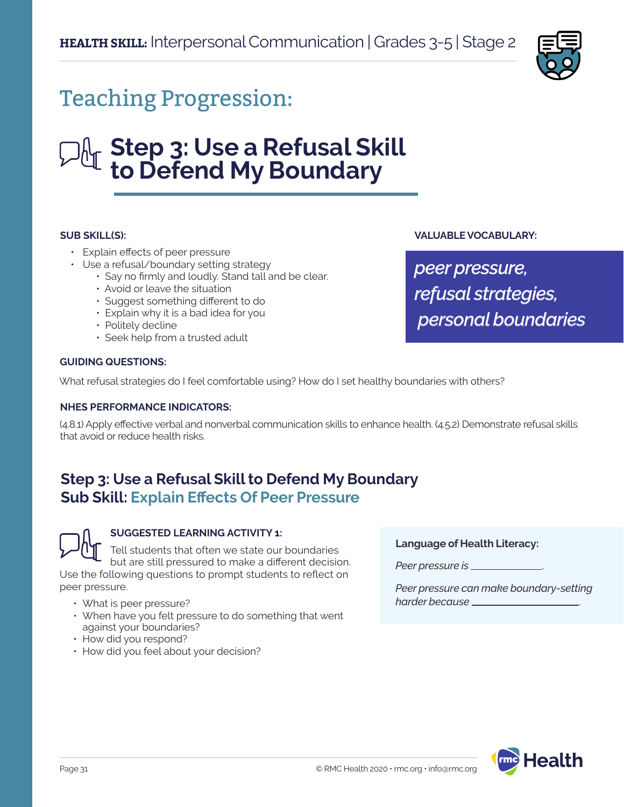

# Teaching Progression:

# **Step 3: Use a Refusal Skill to Defend My Boundary**

### **SUB SKILL(S):**

- Explain effects of peer pressure
- Use a refusal/boundary setting strategy
	- Say no firmly and loudly. Stand tall and be clear.
	- Avoid or leave the situation
	- Suggest something different to do
	- Explain why it is a bad idea for you
	- Politely decline
	- Seek help from a trusted adult

### **GUIDING QUESTIONS:**

What refusal strategies do I feel comfortable using? How do I set healthy boundaries with others?

#### **NHES PERFORMANCE INDICATORS:**

(4.8.1) Apply effective verbal and nonverbal communication skills to enhance health. (4.5.2) Demonstrate refusal skills that avoid or reduce health risks.

## **Step 3: Use a Refusal Skill to Defend My Boundary Sub Skill: Explain Effects Of Peer Pressure**



## **SUGGESTED LEARNING ACTIVITY 1:**

Tell students that often we state our boundaries but are still pressured to make a different decision. Use the following questions to prompt students to reflect on

peer pressure.

- What is peer pressure?
- When have you felt pressure to do something that went against your boundaries?
- How did you respond?
- How did you feel about your decision?

### **Language of Health Literacy:**

*Peer pressure is* .

*Peer pressure can make boundary-setting harder because* .



**VALUABLE VOCABULARY:**

*peer pressure, refusal strategies, personal boundaries*